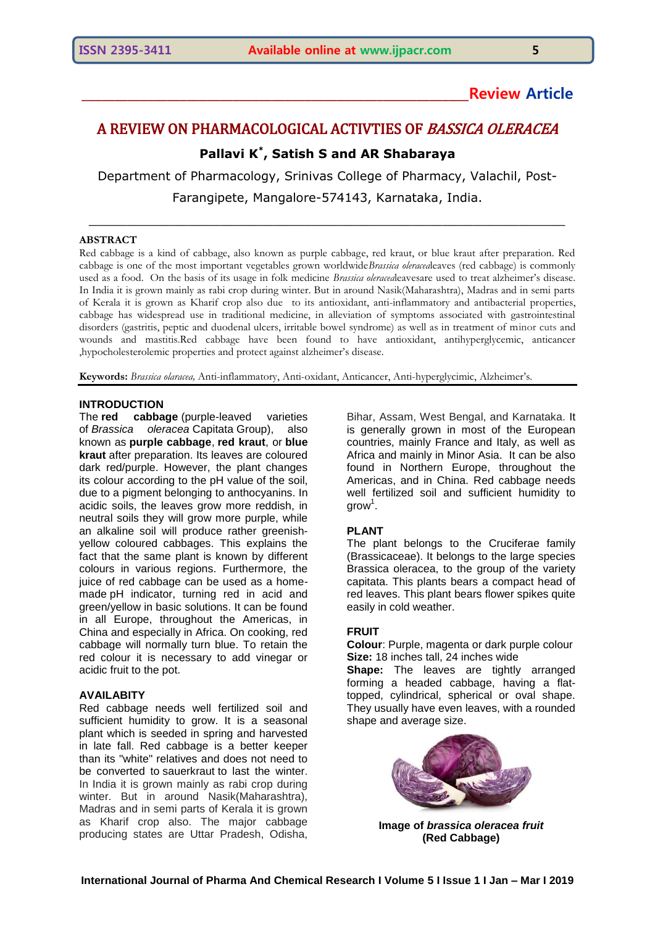# **\_\_\_\_\_\_\_\_\_\_\_\_\_\_\_\_\_\_\_\_\_\_\_\_\_\_\_\_\_\_\_\_\_\_\_\_\_\_\_\_\_\_\_\_\_\_\_\_\_\_\_\_\_\_\_\_\_\_\_Review Article**

# A REVIEW ON PHARMACOLOGICAL ACTIVTIES OF BASSICA OLERACEA

## **Pallavi K\* , Satish S and AR Shabaraya**

Department of Pharmacology, Srinivas College of Pharmacy, Valachil, Post-Farangipete, Mangalore-574143, Karnataka, India.

\_\_\_\_\_\_\_\_\_\_\_\_\_\_\_\_\_\_\_\_\_\_\_\_\_\_\_\_\_\_\_\_\_\_\_\_\_\_\_\_\_\_\_\_\_\_\_\_\_\_\_\_\_\_\_\_\_\_\_\_\_\_

#### **ABSTRACT**

Red cabbage is a kind of cabbage, also known as purple cabbage, red kraut, or blue kraut after preparation. Red cabbage is one of the most important vegetables grown worldwide*Brassica oleracea*leaves (red cabbage) is commonly used as a food. On the basis of its usage in folk medicine *Brassica oleracea*leavesare used to treat alzheimer's disease. In India it is grown mainly as rabi crop during winter. But in around Nasik(Maharashtra), Madras and in semi parts of Kerala it is grown as Kharif crop also due to its antioxidant, anti-inflammatory and antibacterial properties, cabbage has widespread use in traditional medicine, in alleviation of symptoms associated with gastrointestinal disorders (gastritis, peptic and duodenal ulcers, irritable bowel syndrome) as well as in treatment of minor cuts and wounds and mastitis.Red cabbage have been found to have antioxidant, antihyperglycemic, anticancer ,hypocholesterolemic properties and protect against alzheimer's disease.

**Keywords:** *Brassica olaracea,* Anti-inflammatory, Anti-oxidant, Anticancer, Anti-hyperglycimic, Alzheimer's.

#### **INTRODUCTION**

The **red cabbage** (purple-leaved varieties of *[Brassica oleracea](https://en.wikipedia.org/wiki/Brassica_oleracea)* Capitata [Group\)](https://en.wikipedia.org/wiki/Cultivar_group), also known as **purple cabbage**, **red kraut**, or **blue kraut** after preparation. Its leaves are coloured dark red/purple. However, the plant changes its colour according to the [pH value](https://en.wikipedia.org/wiki/PH) of the soil, due to a [pigment](https://en.wikipedia.org/wiki/Pigment) belonging to [anthocyanins.](https://en.wikipedia.org/wiki/Anthocyanin) In acidic soils, the leaves grow more reddish, in neutral soils they will grow more purple, while an alkaline soil will produce rather greenishyellow coloured cabbages. This explains the fact that the same plant is known by different colours in various regions. Furthermore, the juice of red cabbage can be used as a homemade [pH indicator,](https://en.wikipedia.org/wiki/PH_indicator) turning red in acid and green/yellow in basic solutions. It can be found in all Europe, throughout the Americas, in China and especially in Africa. On cooking, red cabbage will normally turn blue. To retain the red colour it is necessary to add vinegar or acidic fruit to the pot.

#### **AVAILABITY**

Red cabbage needs well fertilized soil and sufficient humidity to grow. It is a seasonal plant which is seeded in spring and harvested in late fall. Red cabbage is a better keeper than its "white" relatives and does not need to be converted to [sauerkraut](https://en.wikipedia.org/wiki/Sauerkraut) to last the winter. In India it is grown mainly as rabi crop during winter. But in around Nasik(Maharashtra), Madras and in semi parts of Kerala it is grown as Kharif crop also. The major cabbage producing states are Uttar Pradesh, Odisha,

Bihar, Assam, West Bengal, and Karnataka. It is generally grown in most of the European countries, mainly France and Italy, as well as Africa and mainly in Minor Asia. It can be also found in Northern Europe, throughout the Americas, and in China. Red cabbage needs well fertilized soil and sufficient humidity to  $grow<sup>1</sup>$ .

#### **PLANT**

The plant belongs to the Cruciferae family (Brassicaceae). It belongs to the large species Brassica oleracea, to the group of the variety capitata. This plants bears a compact head of red leaves. This plant bears flower spikes quite easily in cold weather.

#### **FRUIT**

**Colour**: Purple, magenta or dark purple colour **Size:** 18 inches tall, 24 inches wide

**Shape:** The leaves are tightly arranged forming a headed cabbage, having a flattopped, cylindrical, spherical or oval shape. They usually have even leaves, with a rounded shape and average size.



**Image of** *brassica oleracea fruit*  **(Red Cabbage)**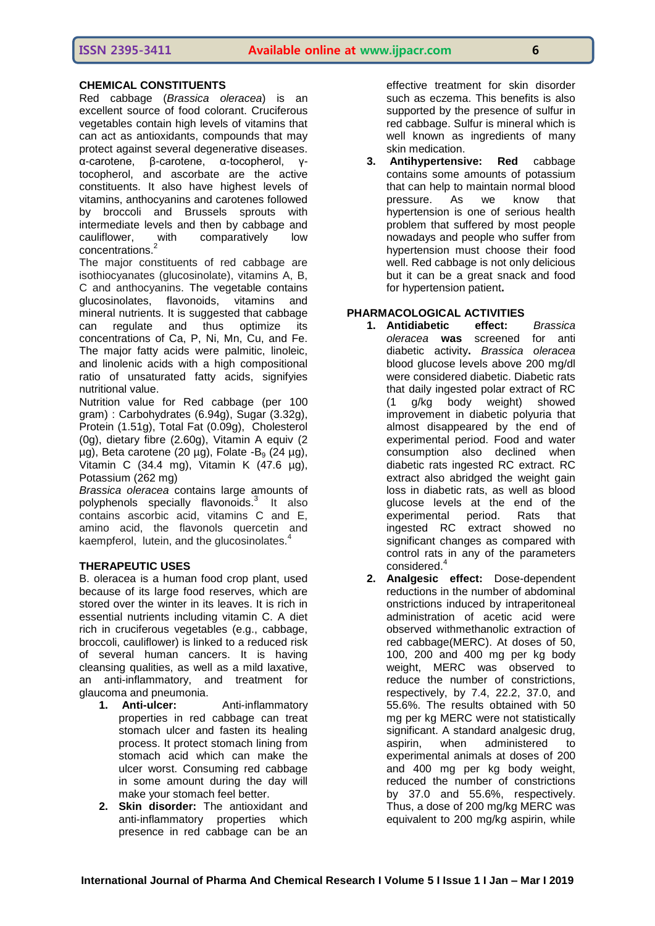## **CHEMICAL CONSTITUENTS**

Red cabbage (*Brassica oleracea*) is an excellent source of food colorant. Cruciferous vegetables contain high levels of vitamins that can act as antioxidants, compounds that may protect against several degenerative diseases. α-carotene, β-carotene, α-tocopherol, γtocopherol, and ascorbate are the active constituents. It also have highest levels of vitamins, anthocyanins and carotenes followed by broccoli and Brussels sprouts with intermediate levels and then by cabbage and cauliflower, with comparatively low concentrations.<sup>2</sup>

The major constituents of red cabbage are isothiocyanates (glucosinolate), vitamins A, B, C and anthocyanins. The vegetable contains glucosinolates, flavonoids, vitamins and mineral nutrients. It is suggested that cabbage can regulate and thus optimize its concentrations of Ca, P, Ni, Mn, Cu, and Fe. The major fatty acids were palmitic, linoleic, and linolenic acids with a high compositional ratio of unsaturated fatty acids, signifyies nutritional value.

Nutrition value for Red cabbage (per 100 gram) : Carbohydrates (6.94g), Sugar (3.32g), Protein (1.51g), Total Fat (0.09g), Cholesterol (0g), dietary fibre (2.60g), Vitamin A equiv (2  $\mu$ g), Beta carotene (20  $\mu$ g), Folate -B<sub>9</sub> (24  $\mu$ g), Vitamin C (34.4 mg), Vitamin K (47.6 µg), Potassium (262 mg)

*Brassica oleracea* contains large amounts of polyphenols specially flavonoids. $3$  It also contains ascorbic acid, vitamins C and E, amino acid, the flavonols quercetin and kaempferol, lutein, and the glucosinolates.<sup>4</sup>

## **THERAPEUTIC USES**

B. oleracea is a human food crop plant, used because of its large food reserves, which are stored over the winter in its leaves. It is rich in essential nutrients including vitamin C. A diet rich in cruciferous vegetables (e.g., cabbage, broccoli, cauliflower) is linked to a reduced risk of several human cancers. It is having cleansing qualities, as well as a mild laxative, an anti-inflammatory, and treatment for glaucoma and pneumonia.

- **1. Anti-ulcer:** Anti-inflammatory properties in red cabbage can treat stomach ulcer and fasten its healing process. It protect stomach lining from stomach acid which can make the ulcer worst. Consuming red cabbage in some amount during the day will make your stomach feel better.
- **2. Skin disorder:** The antioxidant and anti-inflammatory properties which presence in red cabbage can be an

effective treatment for skin disorder such as eczema. This benefits is also supported by the presence of sulfur in red cabbage. Sulfur is mineral which is well known as ingredients of many skin medication.

**3. Antihypertensive: Red** cabbage contains some amounts of potassium that can help to maintain normal blood pressure. As we know that hypertension is one of serious health problem that suffered by most people nowadays and people who suffer from hypertension must choose their food well. Red cabbage is not only delicious but it can be a great snack and food for hypertension patient**.**

## **PHARMACOLOGICAL ACTIVITIES**

- **1. Antidiabetic effect:** *Brassica oleracea* **was** screened for anti diabetic activity**.** *Brassica oleracea* blood glucose levels above 200 mg/dl were considered diabetic. Diabetic rats that daily ingested polar extract of RC (1 g/kg body weight) showed improvement in diabetic polyuria that almost disappeared by the end of experimental period. Food and water consumption also declined when diabetic rats ingested RC extract. RC extract also abridged the weight gain loss in diabetic rats, as well as blood glucose levels at the end of the experimental period. Rats that ingested RC extract showed no significant changes as compared with control rats in any of the parameters considered.<sup>4</sup>
- **2. Analgesic effect:** Dose-dependent reductions in the number of abdominal onstrictions induced by intraperitoneal administration of acetic acid were observed withmethanolic extraction of red cabbage(MERC). At doses of 50, 100, 200 and 400 mg per kg body weight, MERC was observed to reduce the number of constrictions, respectively, by 7.4, 22.2, 37.0, and 55.6%. The results obtained with 50 mg per kg MERC were not statistically significant. A standard analgesic drug, aspirin, when administered to experimental animals at doses of 200 and 400 mg per kg body weight, reduced the number of constrictions by 37.0 and 55.6%, respectively. Thus, a dose of 200 mg/kg MERC was equivalent to 200 mg/kg aspirin, while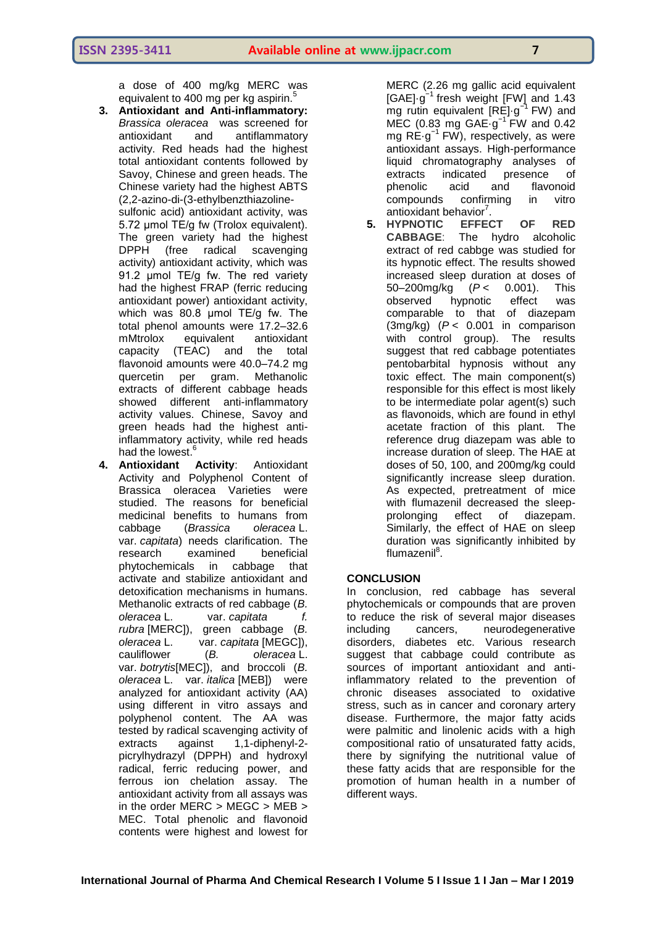a dose of 400 mg/kg MERC was equivalent to 400 mg per kg aspirin.<sup>5</sup>

**3. Antioxidant and Anti-inflammatory:**  *Brassica oleracea* was screened for antioxidant and antiflammatory activity. Red heads had the highest total antioxidant contents followed by Savoy, Chinese and green heads. The Chinese variety had the highest ABTS (2,2-azino-di-(3-ethylbenzthiazoline-

sulfonic acid) antioxidant activity, was 5.72 μmol TE/g fw (Trolox equivalent). The green variety had the highest DPPH (free radical scavenging activity) antioxidant activity, which was 91.2 umol TE/g fw. The red variety had the highest FRAP (ferric reducing antioxidant power) antioxidant activity, which was 80.8 μmol TE/g fw. The total phenol amounts were 17.2–32.6 mMtrolox equivalent antioxidant capacity (TEAC) and the total flavonoid amounts were 40.0–74.2 mg quercetin per gram. Methanolic extracts of different cabbage heads showed different anti-inflammatory activity values. Chinese, Savoy and green heads had the highest antiinflammatory activity, while red heads had the lowest.<sup>6</sup>

**4. Antioxidant Activity**: Antioxidant Activity and Polyphenol Content of Brassica oleracea Varieties were studied. The reasons for beneficial medicinal benefits to humans from cabbage (*Brassica oleracea* L. var. *capitata*) needs clarification. The research examined beneficial phytochemicals in cabbage that activate and stabilize antioxidant and detoxification mechanisms in humans. Methanolic extracts of red cabbage (*B. oleracea* L. var. *capitata f. rubra* [MERC]), green cabbage (*B. oleracea* L. var. *capitata* [MEGC]), cauliflower (*B. oleracea* L. var. *botrytis*[MEC]), and broccoli (*B. oleracea* L. var. *italica* [MEB]) were analyzed for antioxidant activity (AA) using different in vitro assays and polyphenol content. The AA was tested by radical scavenging activity of extracts against 1,1-diphenyl-2 picrylhydrazyl (DPPH) and hydroxyl radical, ferric reducing power, and ferrous ion chelation assay. The antioxidant activity from all assays was in the order MERC > MEGC > MEB > MEC. Total phenolic and flavonoid contents were highest and lowest for

MERC (2.26 mg gallic acid equivalent [GAE]·g<sup>-1</sup> fresh weight [FW] and 1.43 mg rutin equivalent [RE]·g<sup>-1</sup> FW) and MEC (0.83 mg GAE·g−1 FW and 0.42 mg RE·g−1 FW), respectively, as were antioxidant assays. High-performance liquid chromatography analyses of extracts indicated presence of phenolic acid and flavonoid compounds confirming in vitro antioxidant behavior<sup>7</sup>.

**5. HYPNOTIC EFFECT OF RED CABBAGE**: The hydro alcoholic extract of red cabbge was studied for its hypnotic effect. The results showed increased sleep duration at doses of 50–200mg/kg (*P* < 0.001). This observed hypnotic effect was comparable to that of diazepam (3mg/kg) (*P* < 0.001 in comparison with control group). The results suggest that red cabbage potentiates pentobarbital hypnosis without any toxic effect. The main component(s) responsible for this effect is most likely to be intermediate polar agent(s) such as flavonoids, which are found in ethyl acetate fraction of this plant. The reference drug diazepam was able to increase duration of sleep. The HAE at doses of 50, 100, and 200mg/kg could significantly increase sleep duration. As expected, pretreatment of mice with flumazenil decreased the sleepprolonging effect of diazepam. Similarly, the effect of HAE on sleep duration was significantly inhibited by flumazenil<sup>8</sup>.

## **CONCLUSION**

In conclusion, red cabbage has several phytochemicals or compounds that are proven to reduce the risk of several major diseases including cancers, neurodegenerative disorders, diabetes etc. Various research suggest that cabbage could contribute as sources of important antioxidant and antiinflammatory related to the prevention of chronic diseases associated to oxidative stress, such as in cancer and coronary artery disease. Furthermore, the major fatty acids were palmitic and linolenic acids with a high compositional ratio of unsaturated fatty acids, there by signifying the nutritional value of these fatty acids that are responsible for the promotion of human health in a number of different ways.